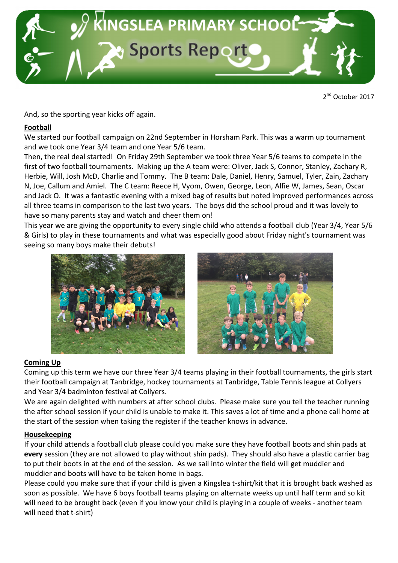

2<sup>nd</sup> October 2017

And, so the sporting year kicks off again.

## Football

We started our football campaign on 22nd September in Horsham Park. This was a warm up tournament and we took one Year 3/4 team and one Year 5/6 team.

Then, the real deal started! On Friday 29th September we took three Year 5/6 teams to compete in the first of two football tournaments. Making up the A team were: Oliver, Jack S, Connor, Stanley, Zachary R, Herbie, Will, Josh McD, Charlie and Tommy. The B team: Dale, Daniel, Henry, Samuel, Tyler, Zain, Zachary N, Joe, Callum and Amiel. The C team: Reece H, Vyom, Owen, George, Leon, Alfie W, James, Sean, Oscar and Jack O. It was a fantastic evening with a mixed bag of results but noted improved performances across all three teams in comparison to the last two years. The boys did the school proud and it was lovely to have so many parents stay and watch and cheer them on!

This year we are giving the opportunity to every single child who attends a football club (Year 3/4, Year 5/6 & Girls) to play in these tournaments and what was especially good about Friday night's tournament was seeing so many boys make their debuts!





# Coming Up

Coming up this term we have our three Year 3/4 teams playing in their football tournaments, the girls start their football campaign at Tanbridge, hockey tournaments at Tanbridge, Table Tennis league at Collyers and Year 3/4 badminton festival at Collyers.

We are again delighted with numbers at after school clubs. Please make sure you tell the teacher running the after school session if your child is unable to make it. This saves a lot of time and a phone call home at the start of the session when taking the register if the teacher knows in advance.

### **Housekeeping**

If your child attends a football club please could you make sure they have football boots and shin pads at every session (they are not allowed to play without shin pads). They should also have a plastic carrier bag to put their boots in at the end of the session. As we sail into winter the field will get muddier and muddier and boots will have to be taken home in bags.

Please could you make sure that if your child is given a Kingslea t-shirt/kit that it is brought back washed as soon as possible. We have 6 boys football teams playing on alternate weeks up until half term and so kit will need to be brought back (even if you know your child is playing in a couple of weeks - another team will need that t-shirt)